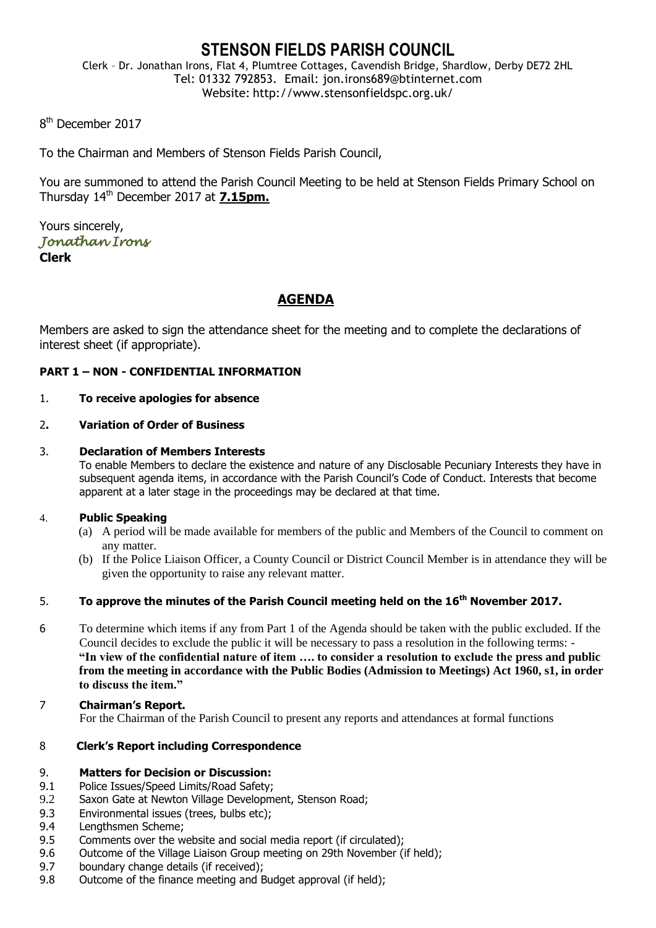## **STENSON FIELDS PARISH COUNCIL**

Clerk – Dr. Jonathan Irons, Flat 4, Plumtree Cottages, Cavendish Bridge, Shardlow, Derby DE72 2HL Tel: 01332 792853. Email: jon.irons689@btinternet.com Website: http://www.stensonfieldspc.org.uk/

8<sup>th</sup> December 2017

To the Chairman and Members of Stenson Fields Parish Council,

You are summoned to attend the Parish Council Meeting to be held at Stenson Fields Primary School on Thursday 14th December 2017 at **7.15pm.**

Yours sincerely, *Jonathan Irons*  **Clerk**

## **AGENDA**

Members are asked to sign the attendance sheet for the meeting and to complete the declarations of interest sheet (if appropriate).

## **PART 1 – NON - CONFIDENTIAL INFORMATION**

## 1. **To receive apologies for absence**

## 2**. Variation of Order of Business**

## 3. **Declaration of Members Interests**

To enable Members to declare the existence and nature of any Disclosable Pecuniary Interests they have in subsequent agenda items, in accordance with the Parish Council's Code of Conduct. Interests that become apparent at a later stage in the proceedings may be declared at that time.

## 4. **Public Speaking**

- (a) A period will be made available for members of the public and Members of the Council to comment on any matter.
- (b) If the Police Liaison Officer, a County Council or District Council Member is in attendance they will be given the opportunity to raise any relevant matter.

## 5. **To approve the minutes of the Parish Council meeting held on the 16th November 2017.**

- 6 To determine which items if any from Part 1 of the Agenda should be taken with the public excluded. If the Council decides to exclude the public it will be necessary to pass a resolution in the following terms: - **"In view of the confidential nature of item …. to consider a resolution to exclude the press and public from the meeting in accordance with the Public Bodies (Admission to Meetings) Act 1960, s1, in order to discuss the item."**
- 7 **Chairman's Report.** For the Chairman of the Parish Council to present any reports and attendances at formal functions

## 8 **Clerk's Report including Correspondence**

## 9. **Matters for Decision or Discussion:**

- 9.1 Police Issues/Speed Limits/Road Safety;
- 9.2 Saxon Gate at Newton Village Development, Stenson Road;
- 9.3 Environmental issues (trees, bulbs etc);
- 9.4 Lengthsmen Scheme;
- 9.5 Comments over the website and social media report (if circulated);
- 9.6 Outcome of the Village Liaison Group meeting on 29th November (if held);
- 9.7 boundary change details (if received);
- 9.8 Outcome of the finance meeting and Budget approval (if held);